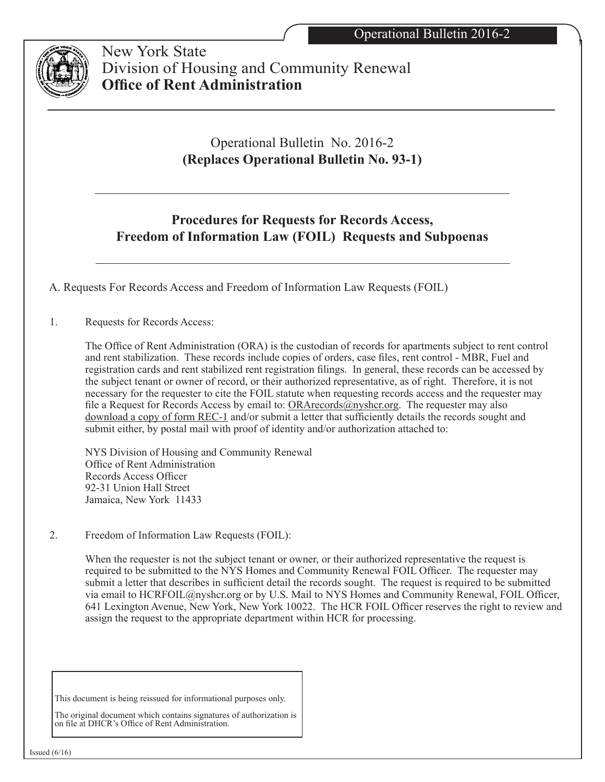

 New York State Division of Housing and Community Renewal **Office of Rent Administration**

# Operational Bulletin No. 2016-2 **(Replaces Operational Bulletin No. 93-1)**

## **Procedures for Requests for Records Access, Freedom of Information Law (FOIL) Requests and Subpoenas**

A. Requests For Records Access and Freedom of Information Law Requests (FOIL)

1. Requests for Records Access:

The Office of Rent Administration (ORA) is the custodian of records for apartments subject to rent control and rent stabilization. These records include copies of orders, case files, rent control - MBR, Fuel and registration cards and rent stabilized rent registration filings. In general, these records can be accessed by the subject tenant or owner of record, or their authorized representative, as of right. Therefore, it is not necessary for the requester to cite the FOIL statute when requesting records access and the requester may file a Request for Records Access by email to:  $ORA$ records $@$ nyshcr.org. The requester may also download a copy of form REC-1 and/or submit a letter that sufficiently details the records sought and submit either, by postal mail with proof of identity and/or authorization attached to:

NYS Division of Housing and Community Renewal Office of Rent Administration Records Access Officer 92-31 Union Hall Street Jamaica, New York 11433

2. Freedom of Information Law Requests (FOIL):

When the requester is not the subject tenant or owner, or their authorized representative the request is required to be submitted to the NYS Homes and Community Renewal FOIL Officer. The requester may submit a letter that describes in sufficient detail the records sought. The request is required to be submitted via email to HCRFOIL@nyshcr.org or by U.S. Mail to NYS Homes and Community Renewal, FOIL Officer, 641 Lexington Avenue, New York, New York 10022. The HCR FOIL Officer reserves the right to review and assign the request to the appropriate department within HCR for processing.

This document is being reissued for informational purposes only.

The original document which contains signatures of authorization is on file at DHCR's Office of Rent Administration.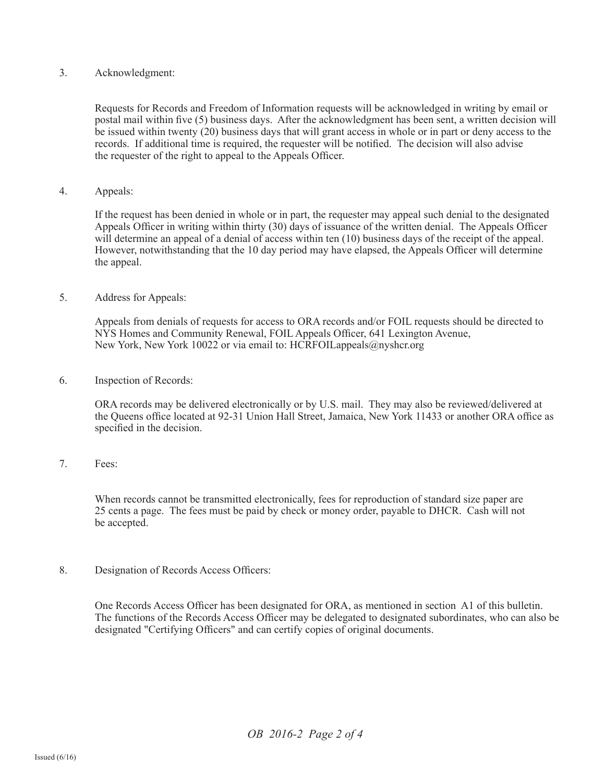## 3. Acknowledgment:

Requests for Records and Freedom of Information requests will be acknowledged in writing by email or postal mail within five (5) business days. After the acknowledgment has been sent, a written decision will be issued within twenty (20) business days that will grant access in whole or in part or deny access to the records. If additional time is required, the requester will be notified. The decision will also advise the requester of the right to appeal to the Appeals Officer.

4. Appeals:

If the request has been denied in whole or in part, the requester may appeal such denial to the designated Appeals Officer in writing within thirty (30) days of issuance of the written denial. The Appeals Officer will determine an appeal of a denial of access within ten (10) business days of the receipt of the appeal. However, notwithstanding that the 10 day period may have elapsed, the Appeals Officer will determine the appeal.

5. Address for Appeals:

Appeals from denials of requests for access to ORA records and/or FOIL requests should be directed to NYS Homes and Community Renewal, FOIL Appeals Officer, 641 Lexington Avenue, New York, New York 10022 or via email to: HCRFOILappeals@nyshcr.org

6. Inspection of Records:

ORA records may be delivered electronically or by U.S. mail. They may also be reviewed/delivered at the Queens office located at 92-31 Union Hall Street, Jamaica, New York 11433 or another ORA office as specified in the decision.

7. Fees:

 When records cannot be transmitted electronically, fees for reproduction of standard size paper are 25 cents a page. The fees must be paid by check or money order, payable to DHCR. Cash will not be accepted.

8. Designation of Records Access Officers:

One Records Access Officer has been designated for ORA, as mentioned in section A1 of this bulletin. The functions of the Records Access Officer may be delegated to designated subordinates, who can also be designated "Certifying Officers" and can certify copies of original documents.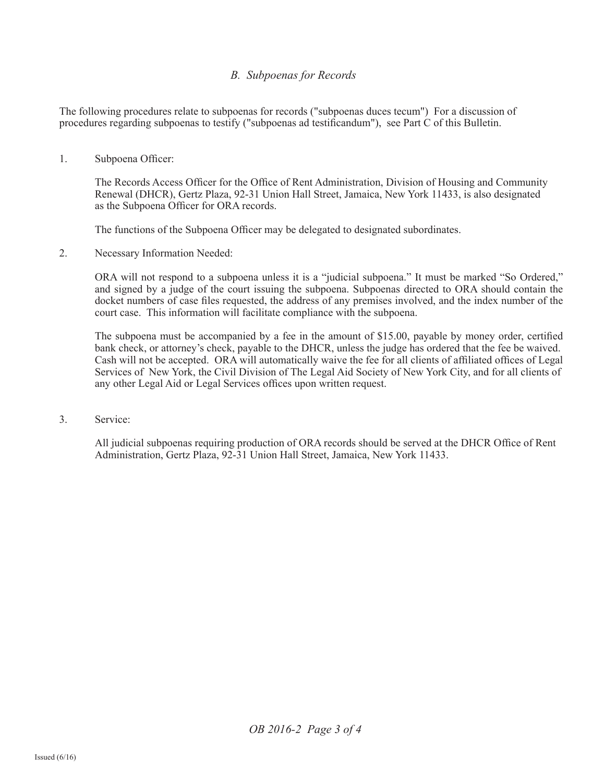## *B. Subpoenas for Records*

The following procedures relate to subpoenas for records ("subpoenas duces tecum") For a discussion of procedures regarding subpoenas to testify ("subpoenas ad testificandum"), see Part C of this Bulletin.

#### 1. Subpoena Officer:

The Records Access Officer for the Office of Rent Administration, Division of Housing and Community Renewal (DHCR), Gertz Plaza, 92-31 Union Hall Street, Jamaica, New York 11433, is also designated as the Subpoena Officer for ORA records.

The functions of the Subpoena Officer may be delegated to designated subordinates.

2. Necessary Information Needed:

ORA will not respond to a subpoena unless it is a "judicial subpoena." It must be marked "So Ordered," and signed by a judge of the court issuing the subpoena. Subpoenas directed to ORA should contain the docket numbers of case files requested, the address of any premises involved, and the index number of the court case. This information will facilitate compliance with the subpoena.

The subpoena must be accompanied by a fee in the amount of \$15.00, payable by money order, certified bank check, or attorney's check, payable to the DHCR, unless the judge has ordered that the fee be waived. Cash will not be accepted. ORA will automatically waive the fee for all clients of affiliated offices of Legal Services of New York, the Civil Division of The Legal Aid Society of New York City, and for all clients of any other Legal Aid or Legal Services offices upon written request.

3. Service:

All judicial subpoenas requiring production of ORA records should be served at the DHCR Office of Rent Administration, Gertz Plaza, 92-31 Union Hall Street, Jamaica, New York 11433.